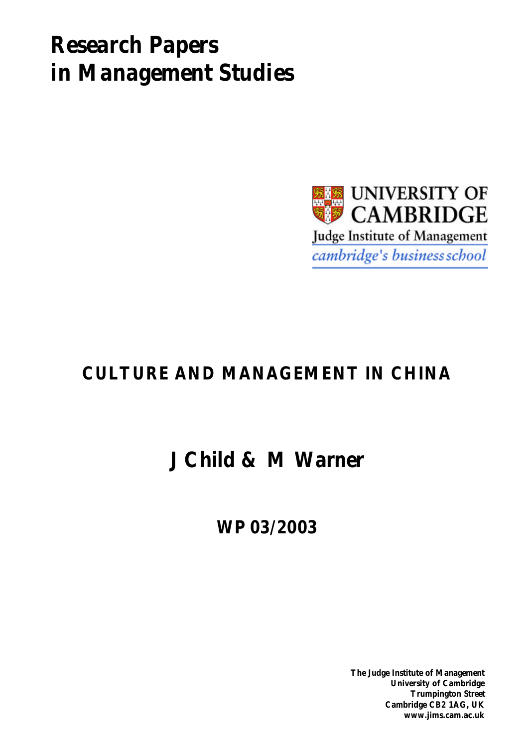# *Research Papers in Management Studies*



## **CULTURE AND MANAGEMENT IN CHINA**

## **J Child & M Warner**

**WP 03/2003**

**The Judge Institute of Management University of Cambridge Trumpington Street Cambridge CB2 1AG, UK www.jims.cam.ac.uk**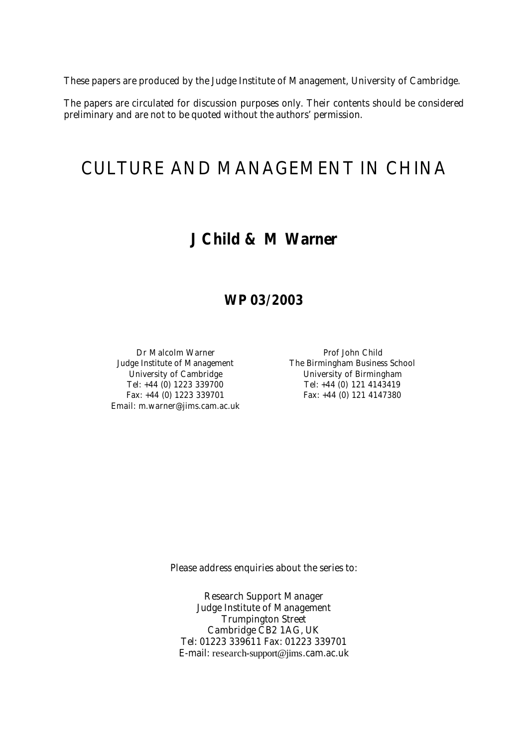These papers are produced by the Judge Institute of Management, University of Cambridge.

The papers are circulated for discussion purposes only. Their contents should be considered preliminary and are not to be quoted without the authors' permission.

## CULTURE AND MANAGEMENT IN CHINA

### **J Child & M Warner**

### **WP 03/2003**

Email: m.warner@jims.cam.ac.uk

Dr Malcolm Warner **Prof John Child** Judge Institute of Management The Birmingham Business School University of Cambridge University of Birmingham Tel: +44 (0) 1223 339700 Tel: +44 (0) 121 4143419 Fax: +44 (0) 1223 339701 Fax: +44 (0) 121 4147380

Please address enquiries about the series to:

Research Support Manager Judge Institute of Management Trumpington Street Cambridge CB2 1AG, UK Tel: 01223 339611 Fax: 01223 339701 E-mail: research-support@jims.cam.ac.uk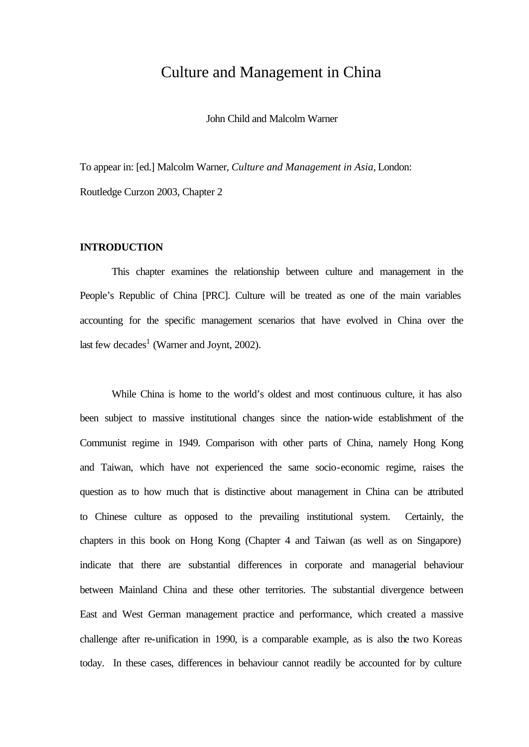### Culture and Management in China

John Child and Malcolm Warner

To appear in: [ed.] Malcolm Warner, *Culture and Management in Asia*, London: Routledge Curzon 2003, Chapter 2

#### **INTRODUCTION**

This chapter examines the relationship between culture and management in the People's Republic of China [PRC]. Culture will be treated as one of the main variables accounting for the specific management scenarios that have evolved in China over the last few decades<sup>1</sup> (Warner and Joynt, 2002).

While China is home to the world's oldest and most continuous culture, it has also been subject to massive institutional changes since the nation-wide establishment of the Communist regime in 1949. Comparison with other parts of China, namely Hong Kong and Taiwan, which have not experienced the same socio-economic regime, raises the question as to how much that is distinctive about management in China can be attributed to Chinese culture as opposed to the prevailing institutional system. Certainly, the chapters in this book on Hong Kong (Chapter 4 and Taiwan (as well as on Singapore) indicate that there are substantial differences in corporate and managerial behaviour between Mainland China and these other territories. The substantial divergence between East and West German management practice and performance, which created a massive challenge after re-unification in 1990, is a comparable example, as is also the two Koreas today. In these cases, differences in behaviour cannot readily be accounted for by culture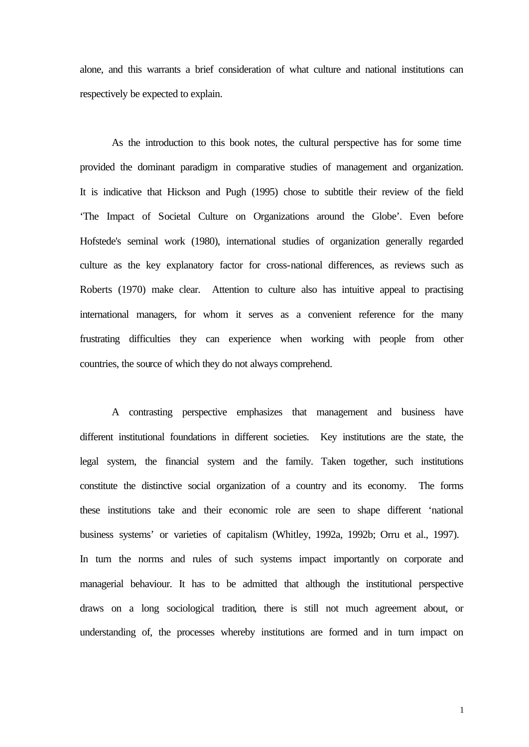alone, and this warrants a brief consideration of what culture and national institutions can respectively be expected to explain.

As the introduction to this book notes, the cultural perspective has for some time provided the dominant paradigm in comparative studies of management and organization. It is indicative that Hickson and Pugh (1995) chose to subtitle their review of the field 'The Impact of Societal Culture on Organizations around the Globe'. Even before Hofstede's seminal work (1980), international studies of organization generally regarded culture as the key explanatory factor for cross-national differences, as reviews such as Roberts (1970) make clear. Attention to culture also has intuitive appeal to practising international managers, for whom it serves as a convenient reference for the many frustrating difficulties they can experience when working with people from other countries, the source of which they do not always comprehend.

A contrasting perspective emphasizes that management and business have different institutional foundations in different societies. Key institutions are the state, the legal system, the financial system and the family. Taken together, such institutions constitute the distinctive social organization of a country and its economy. The forms these institutions take and their economic role are seen to shape different 'national business systems' or varieties of capitalism (Whitley, 1992a, 1992b; Orru et al., 1997). In turn the norms and rules of such systems impact importantly on corporate and managerial behaviour. It has to be admitted that although the institutional perspective draws on a long sociological tradition, there is still not much agreement about, or understanding of, the processes whereby institutions are formed and in turn impact on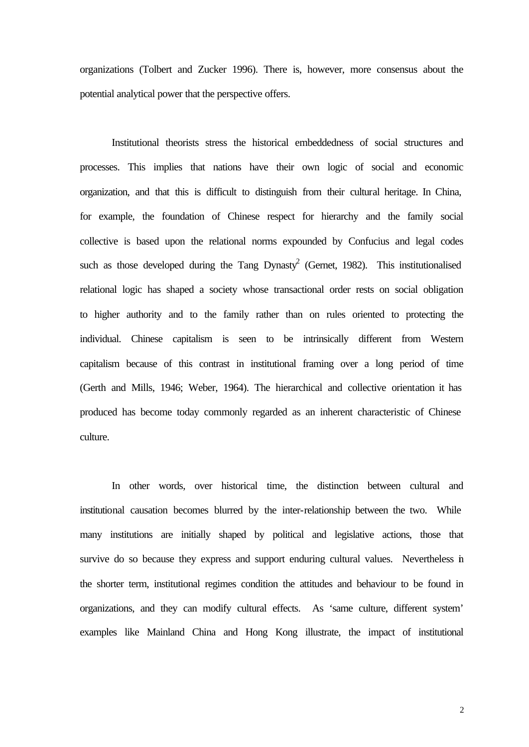organizations (Tolbert and Zucker 1996). There is, however, more consensus about the potential analytical power that the perspective offers.

Institutional theorists stress the historical embeddedness of social structures and processes. This implies that nations have their own logic of social and economic organization, and that this is difficult to distinguish from their cultural heritage. In China, for example, the foundation of Chinese respect for hierarchy and the family social collective is based upon the relational norms expounded by Confucius and legal codes such as those developed during the Tang Dynasty<sup>2</sup> (Gernet, 1982). This institutionalised relational logic has shaped a society whose transactional order rests on social obligation to higher authority and to the family rather than on rules oriented to protecting the individual. Chinese capitalism is seen to be intrinsically different from Western capitalism because of this contrast in institutional framing over a long period of time (Gerth and Mills, 1946; Weber, 1964). The hierarchical and collective orientation it has produced has become today commonly regarded as an inherent characteristic of Chinese culture.

In other words, over historical time, the distinction between cultural and institutional causation becomes blurred by the inter-relationship between the two. While many institutions are initially shaped by political and legislative actions, those that survive do so because they express and support enduring cultural values. Nevertheless in the shorter term, institutional regimes condition the attitudes and behaviour to be found in organizations, and they can modify cultural effects. As 'same culture, different system' examples like Mainland China and Hong Kong illustrate, the impact of institutional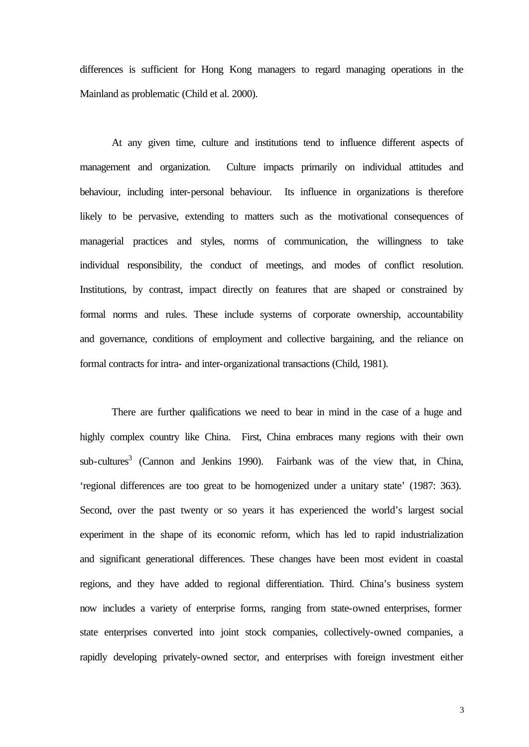differences is sufficient for Hong Kong managers to regard managing operations in the Mainland as problematic (Child et al. 2000).

At any given time, culture and institutions tend to influence different aspects of management and organization. Culture impacts primarily on individual attitudes and behaviour, including inter-personal behaviour. Its influence in organizations is therefore likely to be pervasive, extending to matters such as the motivational consequences of managerial practices and styles, norms of communication, the willingness to take individual responsibility, the conduct of meetings, and modes of conflict resolution. Institutions, by contrast, impact directly on features that are shaped or constrained by formal norms and rules. These include systems of corporate ownership, accountability and governance, conditions of employment and collective bargaining, and the reliance on formal contracts for intra- and inter-organizational transactions (Child, 1981).

There are further qualifications we need to bear in mind in the case of a huge and highly complex country like China. First, China embraces many regions with their own sub-cultures<sup>3</sup> (Cannon and Jenkins 1990). Fairbank was of the view that, in China, 'regional differences are too great to be homogenized under a unitary state' (1987: 363). Second, over the past twenty or so years it has experienced the world's largest social experiment in the shape of its economic reform, which has led to rapid industrialization and significant generational differences. These changes have been most evident in coastal regions, and they have added to regional differentiation. Third. China's business system now includes a variety of enterprise forms, ranging from state-owned enterprises, former state enterprises converted into joint stock companies, collectively-owned companies, a rapidly developing privately-owned sector, and enterprises with foreign investment either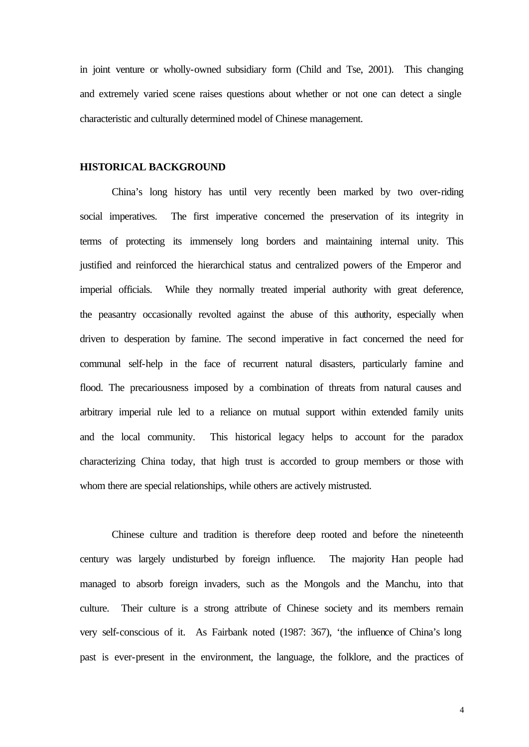in joint venture or wholly-owned subsidiary form (Child and Tse, 2001). This changing and extremely varied scene raises questions about whether or not one can detect a single characteristic and culturally determined model of Chinese management.

#### **HISTORICAL BACKGROUND**

China's long history has until very recently been marked by two over-riding social imperatives. The first imperative concerned the preservation of its integrity in terms of protecting its immensely long borders and maintaining internal unity. This justified and reinforced the hierarchical status and centralized powers of the Emperor and imperial officials. While they normally treated imperial authority with great deference, the peasantry occasionally revolted against the abuse of this authority, especially when driven to desperation by famine. The second imperative in fact concerned the need for communal self-help in the face of recurrent natural disasters, particularly famine and flood. The precariousness imposed by a combination of threats from natural causes and arbitrary imperial rule led to a reliance on mutual support within extended family units and the local community. This historical legacy helps to account for the paradox characterizing China today, that high trust is accorded to group members or those with whom there are special relationships, while others are actively mistrusted.

Chinese culture and tradition is therefore deep rooted and before the nineteenth century was largely undisturbed by foreign influence. The majority Han people had managed to absorb foreign invaders, such as the Mongols and the Manchu, into that culture. Their culture is a strong attribute of Chinese society and its members remain very self-conscious of it. As Fairbank noted (1987: 367), 'the influence of China's long past is ever-present in the environment, the language, the folklore, and the practices of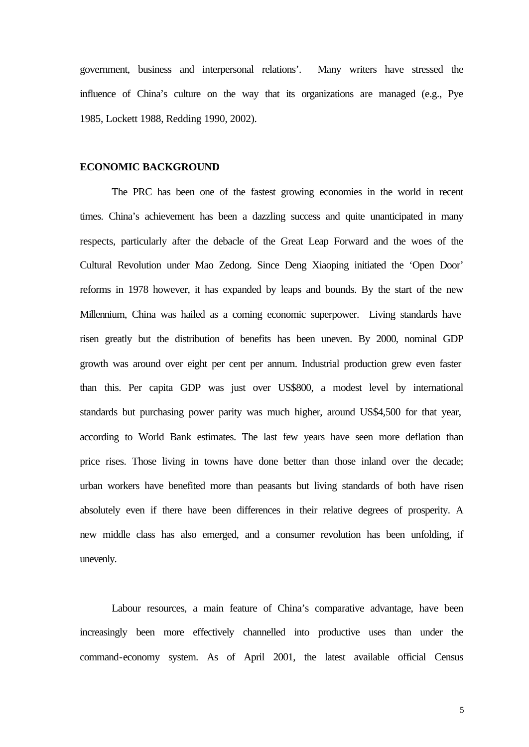government, business and interpersonal relations'. Many writers have stressed the influence of China's culture on the way that its organizations are managed (e.g., Pye 1985, Lockett 1988, Redding 1990, 2002).

#### **ECONOMIC BACKGROUND**

The PRC has been one of the fastest growing economies in the world in recent times. China's achievement has been a dazzling success and quite unanticipated in many respects, particularly after the debacle of the Great Leap Forward and the woes of the Cultural Revolution under Mao Zedong. Since Deng Xiaoping initiated the 'Open Door' reforms in 1978 however, it has expanded by leaps and bounds. By the start of the new Millennium, China was hailed as a coming economic superpower. Living standards have risen greatly but the distribution of benefits has been uneven. By 2000, nominal GDP growth was around over eight per cent per annum. Industrial production grew even faster than this. Per capita GDP was just over US\$800, a modest level by international standards but purchasing power parity was much higher, around US\$4,500 for that year, according to World Bank estimates. The last few years have seen more deflation than price rises. Those living in towns have done better than those inland over the decade; urban workers have benefited more than peasants but living standards of both have risen absolutely even if there have been differences in their relative degrees of prosperity. A new middle class has also emerged, and a consumer revolution has been unfolding, if unevenly.

Labour resources, a main feature of China's comparative advantage, have been increasingly been more effectively channelled into productive uses than under the command-economy system. As of April 2001, the latest available official Census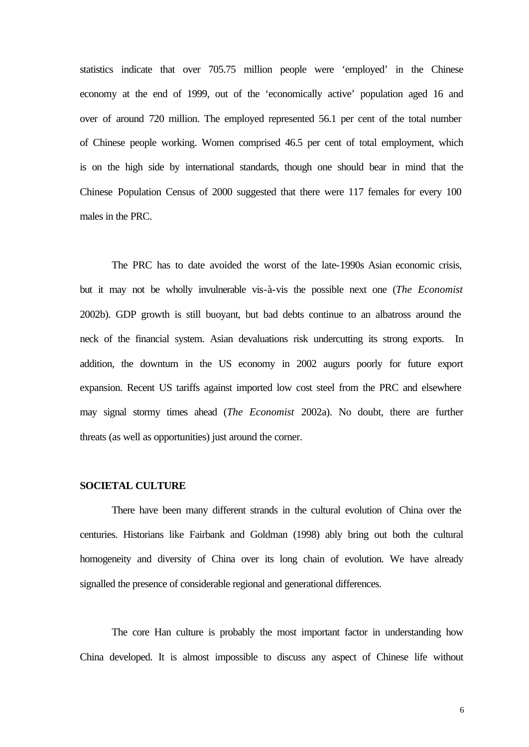statistics indicate that over 705.75 million people were 'employed' in the Chinese economy at the end of 1999, out of the 'economically active' population aged 16 and over of around 720 million. The employed represented 56.1 per cent of the total number of Chinese people working. Women comprised 46.5 per cent of total employment, which is on the high side by international standards, though one should bear in mind that the Chinese Population Census of 2000 suggested that there were 117 females for every 100 males in the PRC.

The PRC has to date avoided the worst of the late-1990s Asian economic crisis, but it may not be wholly invulnerable vis-à-vis the possible next one (*The Economist* 2002b). GDP growth is still buoyant, but bad debts continue to an albatross around the neck of the financial system. Asian devaluations risk undercutting its strong exports. In addition, the downturn in the US economy in 2002 augurs poorly for future export expansion. Recent US tariffs against imported low cost steel from the PRC and elsewhere may signal stormy times ahead (*The Economist* 2002a). No doubt, there are further threats (as well as opportunities) just around the corner.

#### **SOCIETAL CULTURE**

There have been many different strands in the cultural evolution of China over the centuries. Historians like Fairbank and Goldman (1998) ably bring out both the cultural homogeneity and diversity of China over its long chain of evolution. We have already signalled the presence of considerable regional and generational differences.

The core Han culture is probably the most important factor in understanding how China developed. It is almost impossible to discuss any aspect of Chinese life without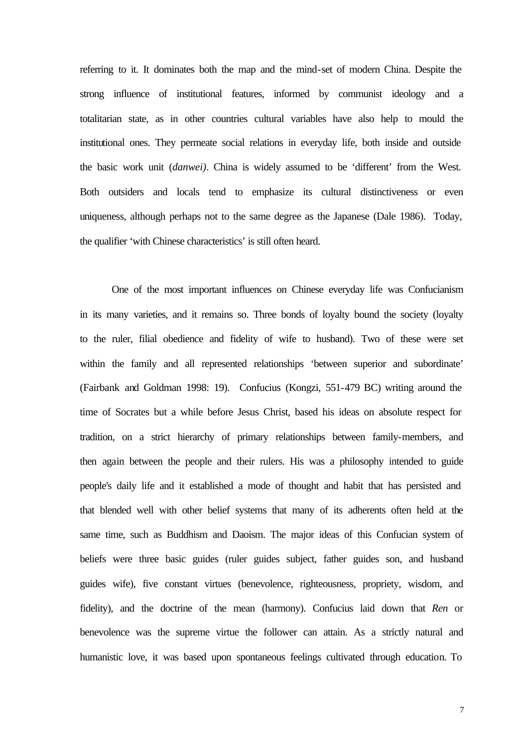referring to it. It dominates both the map and the mind-set of modern China. Despite the strong influence of institutional features, informed by communist ideology and a totalitarian state, as in other countries cultural variables have also help to mould the institutional ones. They permeate social relations in everyday life, both inside and outside the basic work unit (*danwei)*. China is widely assumed to be 'different' from the West. Both outsiders and locals tend to emphasize its cultural distinctiveness or even uniqueness, although perhaps not to the same degree as the Japanese (Dale 1986). Today, the qualifier 'with Chinese characteristics' is still often heard.

One of the most important influences on Chinese everyday life was Confucianism in its many varieties, and it remains so. Three bonds of loyalty bound the society (loyalty to the ruler, filial obedience and fidelity of wife to husband). Two of these were set within the family and all represented relationships 'between superior and subordinate' (Fairbank and Goldman 1998: 19). Confucius (Kongzi, 551-479 BC) writing around the time of Socrates but a while before Jesus Christ, based his ideas on absolute respect for tradition, on a strict hierarchy of primary relationships between family-members, and then again between the people and their rulers. His was a philosophy intended to guide people's daily life and it established a mode of thought and habit that has persisted and that blended well with other belief systems that many of its adherents often held at the same time, such as Buddhism and Daoism. The major ideas of this Confucian system of beliefs were three basic guides (ruler guides subject, father guides son, and husband guides wife), five constant virtues (benevolence, righteousness, propriety, wisdom, and fidelity), and the doctrine of the mean (harmony). Confucius laid down that *Ren* or benevolence was the supreme virtue the follower can attain. As a strictly natural and humanistic love, it was based upon spontaneous feelings cultivated through education. To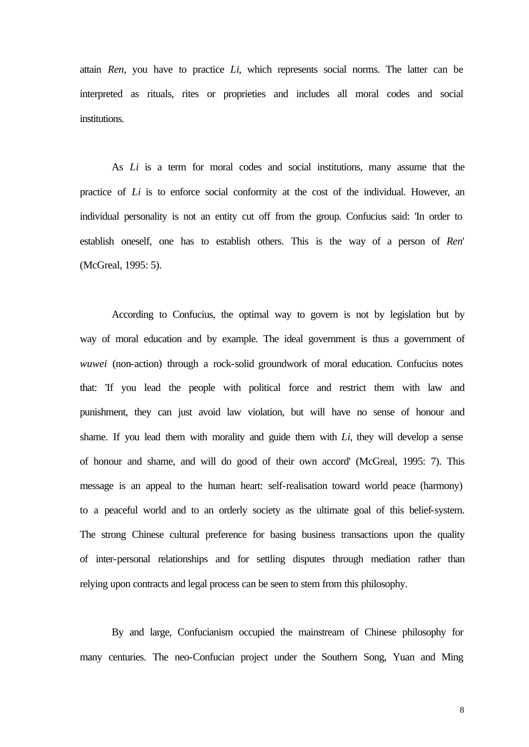attain *Ren*, you have to practice *Li*, which represents social norms. The latter can be interpreted as rituals, rites or proprieties and includes all moral codes and social institutions.

As *Li* is a term for moral codes and social institutions, many assume that the practice of *Li* is to enforce social conformity at the cost of the individual. However, an individual personality is not an entity cut off from the group. Confucius said: 'In order to establish oneself, one has to establish others. This is the way of a person of *Ren*' (McGreal, 1995: 5).

According to Confucius, the optimal way to govern is not by legislation but by way of moral education and by example. The ideal government is thus a government of *wuwei* (non-action) through a rock-solid groundwork of moral education. Confucius notes that: 'If you lead the people with political force and restrict them with law and punishment, they can just avoid law violation, but will have no sense of honour and shame. If you lead them with morality and guide them with *Li*, they will develop a sense of honour and shame, and will do good of their own accord' (McGreal, 1995: 7). This message is an appeal to the human heart: self-realisation toward world peace (harmony) to a peaceful world and to an orderly society as the ultimate goal of this belief-system. The strong Chinese cultural preference for basing business transactions upon the quality of inter-personal relationships and for settling disputes through mediation rather than relying upon contracts and legal process can be seen to stem from this philosophy.

By and large, Confucianism occupied the mainstream of Chinese philosophy for many centuries. The neo-Confucian project under the Southern Song, Yuan and Ming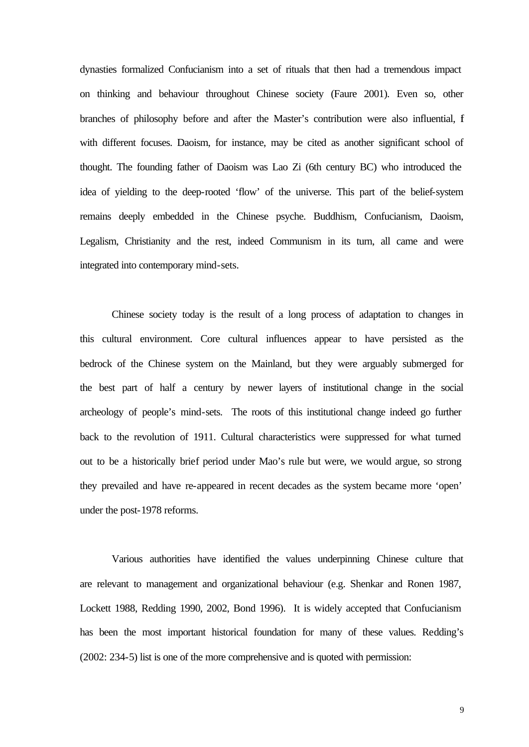dynasties formalized Confucianism into a set of rituals that then had a tremendous impact on thinking and behaviour throughout Chinese society (Faure 2001). Even so, other branches of philosophy before and after the Master's contribution were also influential, if with different focuses. Daoism, for instance, may be cited as another significant school of thought. The founding father of Daoism was Lao Zi (6th century BC) who introduced the idea of yielding to the deep-rooted 'flow' of the universe. This part of the belief-system remains deeply embedded in the Chinese psyche. Buddhism, Confucianism, Daoism, Legalism, Christianity and the rest, indeed Communism in its turn, all came and were integrated into contemporary mind-sets.

Chinese society today is the result of a long process of adaptation to changes in this cultural environment. Core cultural influences appear to have persisted as the bedrock of the Chinese system on the Mainland, but they were arguably submerged for the best part of half a century by newer layers of institutional change in the social archeology of people's mind-sets. The roots of this institutional change indeed go further back to the revolution of 1911. Cultural characteristics were suppressed for what turned out to be a historically brief period under Mao's rule but were, we would argue, so strong they prevailed and have re-appeared in recent decades as the system became more 'open' under the post-1978 reforms.

Various authorities have identified the values underpinning Chinese culture that are relevant to management and organizational behaviour (e.g. Shenkar and Ronen 1987, Lockett 1988, Redding 1990, 2002, Bond 1996). It is widely accepted that Confucianism has been the most important historical foundation for many of these values. Redding's (2002: 234-5) list is one of the more comprehensive and is quoted with permission: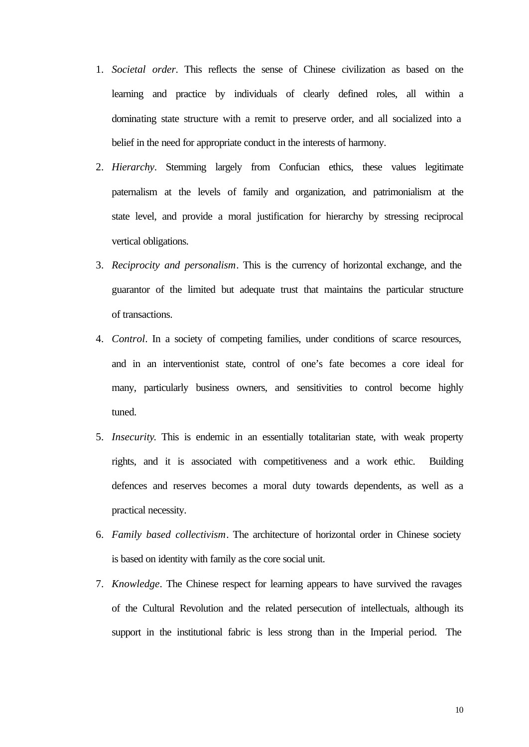- 1. *Societal order*. This reflects the sense of Chinese civilization as based on the learning and practice by individuals of clearly defined roles, all within a dominating state structure with a remit to preserve order, and all socialized into a belief in the need for appropriate conduct in the interests of harmony.
- 2. *Hierarchy*. Stemming largely from Confucian ethics, these values legitimate paternalism at the levels of family and organization, and patrimonialism at the state level, and provide a moral justification for hierarchy by stressing reciprocal vertical obligations.
- 3. *Reciprocity and personalism*. This is the currency of horizontal exchange, and the guarantor of the limited but adequate trust that maintains the particular structure of transactions.
- 4. *Control*. In a society of competing families, under conditions of scarce resources, and in an interventionist state, control of one's fate becomes a core ideal for many, particularly business owners, and sensitivities to control become highly tuned.
- 5. *Insecurity*. This is endemic in an essentially totalitarian state, with weak property rights, and it is associated with competitiveness and a work ethic. Building defences and reserves becomes a moral duty towards dependents, as well as a practical necessity.
- 6. *Family based collectivism*. The architecture of horizontal order in Chinese society is based on identity with family as the core social unit.
- 7. *Knowledge*. The Chinese respect for learning appears to have survived the ravages of the Cultural Revolution and the related persecution of intellectuals, although its support in the institutional fabric is less strong than in the Imperial period. The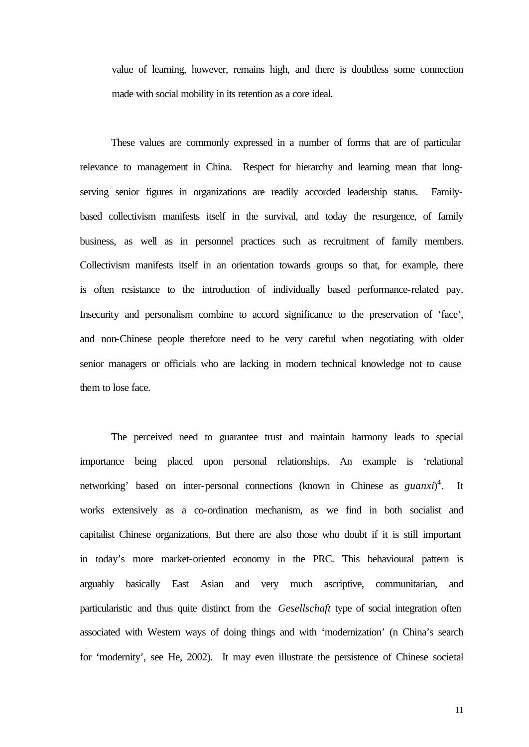value of learning, however, remains high, and there is doubtless some connection made with social mobility in its retention as a core ideal.

These values are commonly expressed in a number of forms that are of particular relevance to management in China. Respect for hierarchy and learning mean that longserving senior figures in organizations are readily accorded leadership status. Familybased collectivism manifests itself in the survival, and today the resurgence, of family business, as well as in personnel practices such as recruitment of family members. Collectivism manifests itself in an orientation towards groups so that, for example, there is often resistance to the introduction of individually based performance-related pay. Insecurity and personalism combine to accord significance to the preservation of 'face', and non-Chinese people therefore need to be very careful when negotiating with older senior managers or officials who are lacking in modern technical knowledge not to cause them to lose face.

The perceived need to guarantee trust and maintain harmony leads to special importance being placed upon personal relationships. An example is 'relational networking' based on inter-personal connections (known in Chinese as *guanxi*)<sup>4</sup>. It works extensively as a co-ordination mechanism, as we find in both socialist and capitalist Chinese organizations. But there are also those who doubt if it is still important in today's more market-oriented economy in the PRC. This behavioural pattern is arguably basically East Asian and very much ascriptive, communitarian, and particularistic and thus quite distinct from the *Gesellschaft* type of social integration often associated with Western ways of doing things and with 'modernization' (n China's search for 'modernity', see He, 2002). It may even illustrate the persistence of Chinese societal

11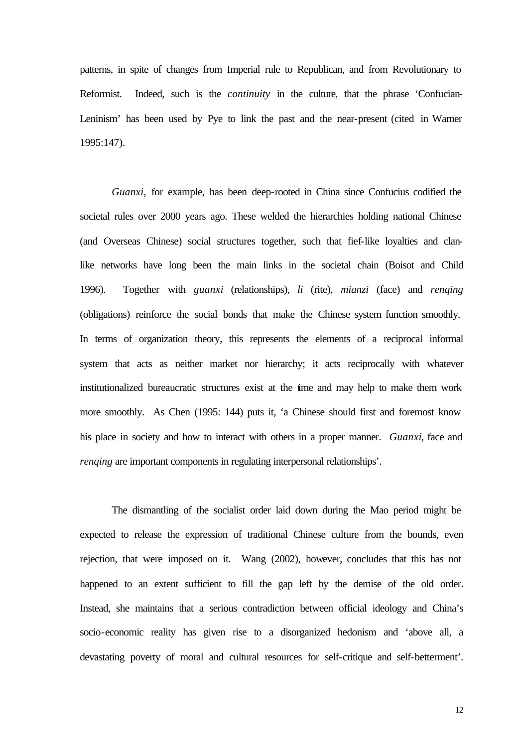patterns, in spite of changes from Imperial rule to Republican, and from Revolutionary to Reformist. Indeed, such is the *continuity* in the culture*,* that the phrase 'Confucian-Leninism' has been used by Pye to link the past and the near-present (cited in Warner 1995:147).

*Guanxi,* for example, has been deep-rooted in China since Confucius codified the societal rules over 2000 years ago. These welded the hierarchies holding national Chinese (and Overseas Chinese) social structures together, such that fief-like loyalties and clanlike networks have long been the main links in the societal chain (Boisot and Child 1996). Together with *guanxi* (relationships), *li* (rite), *mianzi* (face) and *renqing* (obligations) reinforce the social bonds that make the Chinese system function smoothly. In terms of organization theory, this represents the elements of a reciprocal informal system that acts as neither market nor hierarchy; it acts reciprocally with whatever institutionalized bureaucratic structures exist at the time and may help to make them work more smoothly. As Chen (1995: 144) puts it, 'a Chinese should first and foremost know his place in society and how to interact with others in a proper manner. *Guanxi*, face and *renging* are important components in regulating interpersonal relationships'.

The dismantling of the socialist order laid down during the Mao period might be expected to release the expression of traditional Chinese culture from the bounds, even rejection, that were imposed on it. Wang (2002), however, concludes that this has not happened to an extent sufficient to fill the gap left by the demise of the old order. Instead, she maintains that a serious contradiction between official ideology and China's socio-economic reality has given rise to a disorganized hedonism and 'above all, a devastating poverty of moral and cultural resources for self-critique and self-betterment'.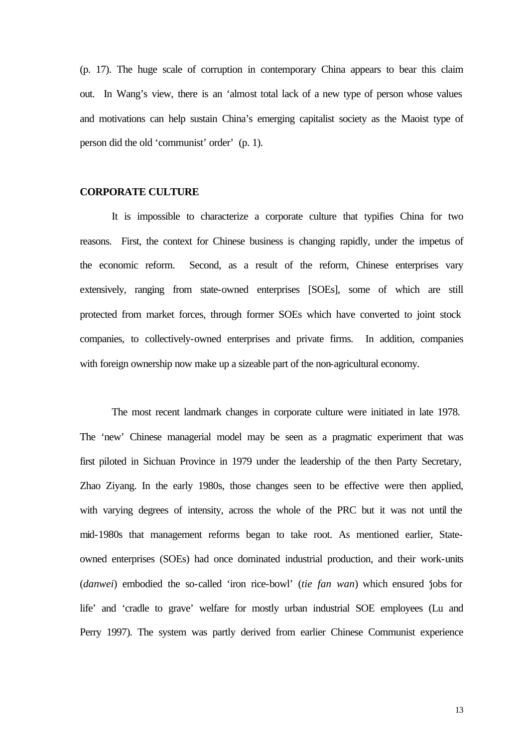(p. 17). The huge scale of corruption in contemporary China appears to bear this claim out. In Wang's view, there is an 'almost total lack of a new type of person whose values and motivations can help sustain China's emerging capitalist society as the Maoist type of person did the old 'communist' order' (p. 1).

#### **CORPORATE CULTURE**

It is impossible to characterize a corporate culture that typifies China for two reasons. First, the context for Chinese business is changing rapidly, under the impetus of the economic reform. Second, as a result of the reform, Chinese enterprises vary extensively, ranging from state-owned enterprises [SOEs], some of which are still protected from market forces, through former SOEs which have converted to joint stock companies, to collectively-owned enterprises and private firms. In addition, companies with foreign ownership now make up a sizeable part of the non-agricultural economy.

The most recent landmark changes in corporate culture were initiated in late 1978. The 'new' Chinese managerial model may be seen as a pragmatic experiment that was first piloted in Sichuan Province in 1979 under the leadership of the then Party Secretary, Zhao Ziyang. In the early 1980s, those changes seen to be effective were then applied, with varying degrees of intensity, across the whole of the PRC but it was not until the mid-1980s that management reforms began to take root. As mentioned earlier, Stateowned enterprises (SOEs) had once dominated industrial production, and their work-units (*danwei*) embodied the so-called 'iron rice-bowl' (*tie fan wan*) which ensured 'jobs for life' and 'cradle to grave' welfare for mostly urban industrial SOE employees (Lu and Perry 1997). The system was partly derived from earlier Chinese Communist experience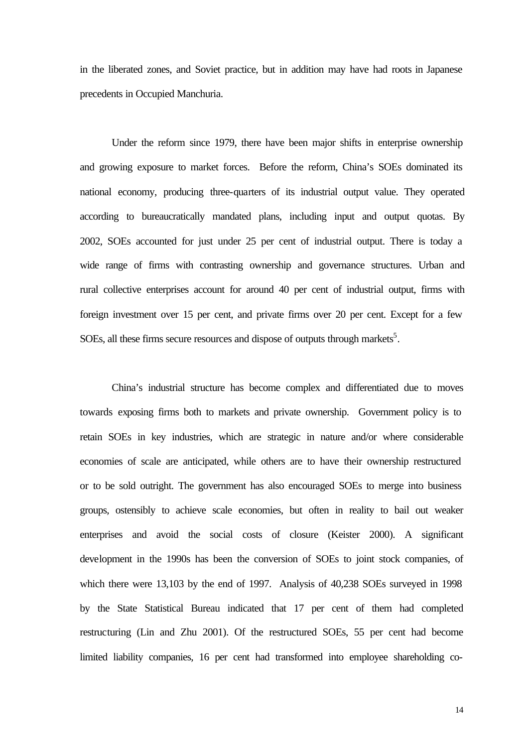in the liberated zones, and Soviet practice, but in addition may have had roots in Japanese precedents in Occupied Manchuria.

Under the reform since 1979, there have been major shifts in enterprise ownership and growing exposure to market forces. Before the reform, China's SOEs dominated its national economy, producing three-quarters of its industrial output value. They operated according to bureaucratically mandated plans, including input and output quotas. By 2002, SOEs accounted for just under 25 per cent of industrial output. There is today a wide range of firms with contrasting ownership and governance structures. Urban and rural collective enterprises account for around 40 per cent of industrial output, firms with foreign investment over 15 per cent, and private firms over 20 per cent. Except for a few SOEs, all these firms secure resources and dispose of outputs through markets<sup>5</sup>.

China's industrial structure has become complex and differentiated due to moves towards exposing firms both to markets and private ownership. Government policy is to retain SOEs in key industries, which are strategic in nature and/or where considerable economies of scale are anticipated, while others are to have their ownership restructured or to be sold outright. The government has also encouraged SOEs to merge into business groups, ostensibly to achieve scale economies, but often in reality to bail out weaker enterprises and avoid the social costs of closure (Keister 2000). A significant development in the 1990s has been the conversion of SOEs to joint stock companies, of which there were 13,103 by the end of 1997. Analysis of 40,238 SOEs surveyed in 1998 by the State Statistical Bureau indicated that 17 per cent of them had completed restructuring (Lin and Zhu 2001). Of the restructured SOEs, 55 per cent had become limited liability companies, 16 per cent had transformed into employee shareholding co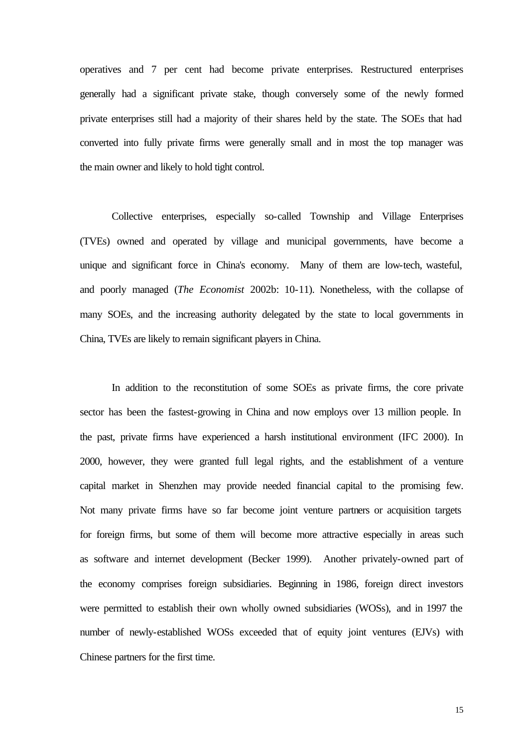operatives and 7 per cent had become private enterprises. Restructured enterprises generally had a significant private stake, though conversely some of the newly formed private enterprises still had a majority of their shares held by the state. The SOEs that had converted into fully private firms were generally small and in most the top manager was the main owner and likely to hold tight control.

Collective enterprises, especially so-called Township and Village Enterprises (TVEs) owned and operated by village and municipal governments, have become a unique and significant force in China's economy. Many of them are low-tech, wasteful, and poorly managed (*The Economist* 2002b: 10-11). Nonetheless, with the collapse of many SOEs, and the increasing authority delegated by the state to local governments in China, TVEs are likely to remain significant players in China.

In addition to the reconstitution of some SOEs as private firms, the core private sector has been the fastest-growing in China and now employs over 13 million people. In the past, private firms have experienced a harsh institutional environment (IFC 2000). In 2000, however, they were granted full legal rights, and the establishment of a venture capital market in Shenzhen may provide needed financial capital to the promising few. Not many private firms have so far become joint venture partners or acquisition targets for foreign firms, but some of them will become more attractive especially in areas such as software and internet development (Becker 1999). Another privately-owned part of the economy comprises foreign subsidiaries. Beginning in 1986, foreign direct investors were permitted to establish their own wholly owned subsidiaries (WOSs), and in 1997 the number of newly-established WOSs exceeded that of equity joint ventures (EJVs) with Chinese partners for the first time.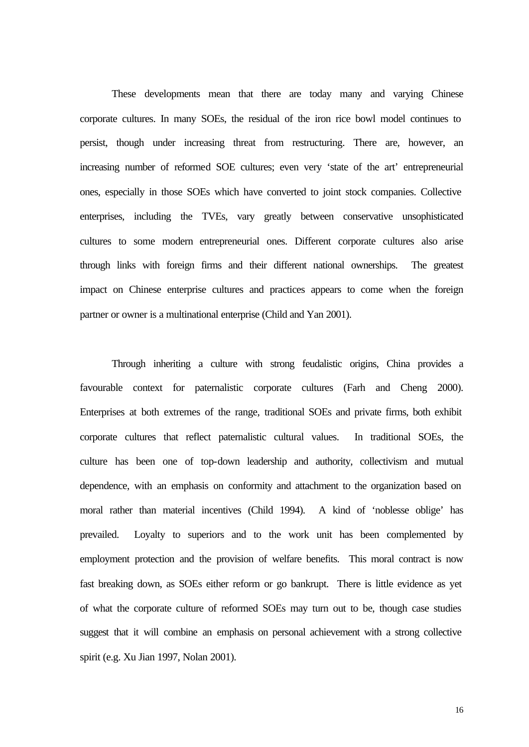These developments mean that there are today many and varying Chinese corporate cultures. In many SOEs, the residual of the iron rice bowl model continues to persist, though under increasing threat from restructuring. There are, however, an increasing number of reformed SOE cultures; even very 'state of the art' entrepreneurial ones, especially in those SOEs which have converted to joint stock companies. Collective enterprises, including the TVEs, vary greatly between conservative unsophisticated cultures to some modern entrepreneurial ones. Different corporate cultures also arise through links with foreign firms and their different national ownerships. The greatest impact on Chinese enterprise cultures and practices appears to come when the foreign partner or owner is a multinational enterprise (Child and Yan 2001).

Through inheriting a culture with strong feudalistic origins, China provides a favourable context for paternalistic corporate cultures (Farh and Cheng 2000). Enterprises at both extremes of the range, traditional SOEs and private firms, both exhibit corporate cultures that reflect paternalistic cultural values. In traditional SOEs, the culture has been one of top-down leadership and authority, collectivism and mutual dependence, with an emphasis on conformity and attachment to the organization based on moral rather than material incentives (Child 1994). A kind of 'noblesse oblige' has prevailed. Loyalty to superiors and to the work unit has been complemented by employment protection and the provision of welfare benefits. This moral contract is now fast breaking down, as SOEs either reform or go bankrupt. There is little evidence as yet of what the corporate culture of reformed SOEs may turn out to be, though case studies suggest that it will combine an emphasis on personal achievement with a strong collective spirit (e.g. Xu Jian 1997, Nolan 2001).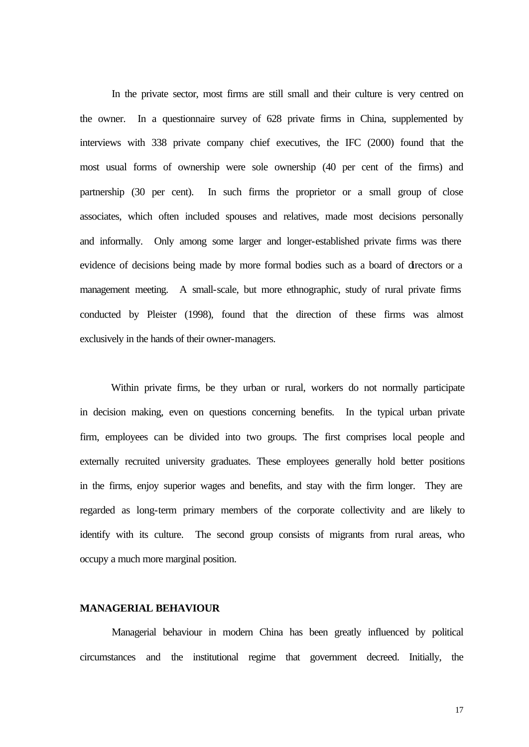In the private sector, most firms are still small and their culture is very centred on the owner. In a questionnaire survey of 628 private firms in China, supplemented by interviews with 338 private company chief executives, the IFC (2000) found that the most usual forms of ownership were sole ownership (40 per cent of the firms) and partnership (30 per cent). In such firms the proprietor or a small group of close associates, which often included spouses and relatives, made most decisions personally and informally. Only among some larger and longer-established private firms was there evidence of decisions being made by more formal bodies such as a board of directors or a management meeting. A small-scale, but more ethnographic, study of rural private firms conducted by Pleister (1998), found that the direction of these firms was almost exclusively in the hands of their owner-managers.

Within private firms, be they urban or rural, workers do not normally participate in decision making, even on questions concerning benefits. In the typical urban private firm, employees can be divided into two groups. The first comprises local people and externally recruited university graduates. These employees generally hold better positions in the firms, enjoy superior wages and benefits, and stay with the firm longer. They are regarded as long-term primary members of the corporate collectivity and are likely to identify with its culture. The second group consists of migrants from rural areas, who occupy a much more marginal position.

#### **MANAGERIAL BEHAVIOUR**

Managerial behaviour in modern China has been greatly influenced by political circumstances and the institutional regime that government decreed. Initially, the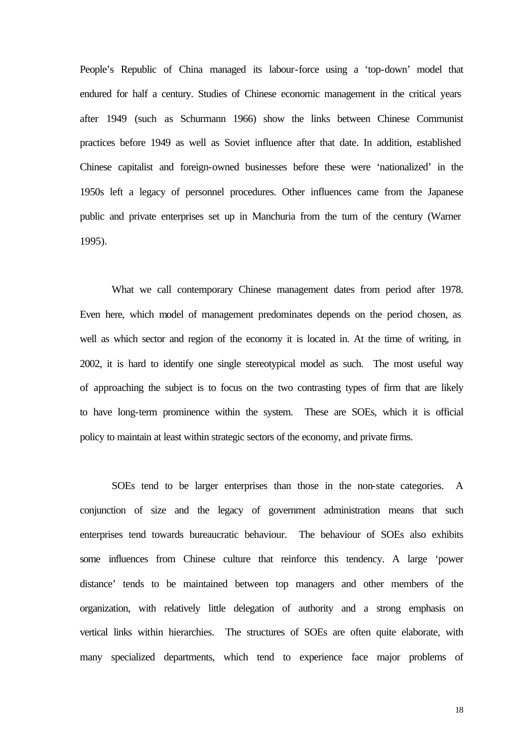People's Republic of China managed its labour-force using a 'top-down' model that endured for half a century. Studies of Chinese economic management in the critical years after 1949 (such as Schurmann 1966) show the links between Chinese Communist practices before 1949 as well as Soviet influence after that date. In addition, established Chinese capitalist and foreign-owned businesses before these were 'nationalized' in the 1950s left a legacy of personnel procedures. Other influences came from the Japanese public and private enterprises set up in Manchuria from the turn of the century (Warner 1995).

What we call contemporary Chinese management dates from period after 1978. Even here, which model of management predominates depends on the period chosen, as well as which sector and region of the economy it is located in. At the time of writing, in 2002, it is hard to identify one single stereotypical model as such. The most useful way of approaching the subject is to focus on the two contrasting types of firm that are likely to have long-term prominence within the system. These are SOEs, which it is official policy to maintain at least within strategic sectors of the economy, and private firms.

SOEs tend to be larger enterprises than those in the non-state categories. A conjunction of size and the legacy of government administration means that such enterprises tend towards bureaucratic behaviour. The behaviour of SOEs also exhibits some influences from Chinese culture that reinforce this tendency. A large 'power distance' tends to be maintained between top managers and other members of the organization, with relatively little delegation of authority and a strong emphasis on vertical links within hierarchies. The structures of SOEs are often quite elaborate, with many specialized departments, which tend to experience face major problems of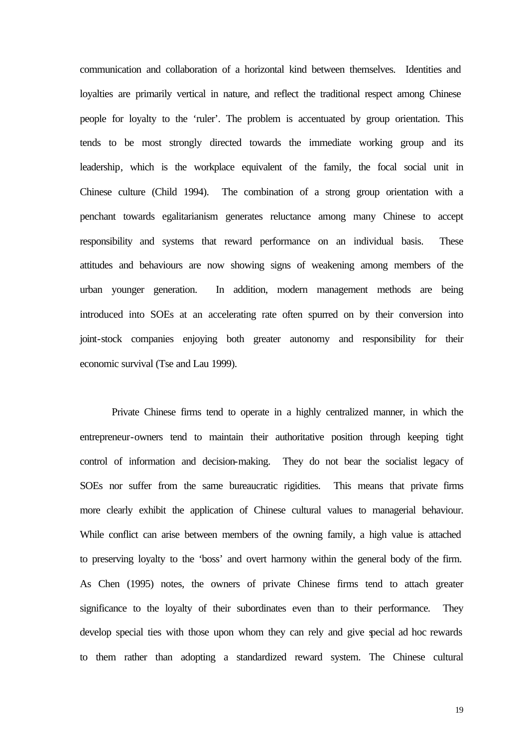communication and collaboration of a horizontal kind between themselves. Identities and loyalties are primarily vertical in nature, and reflect the traditional respect among Chinese people for loyalty to the 'ruler'. The problem is accentuated by group orientation. This tends to be most strongly directed towards the immediate working group and its leadership, which is the workplace equivalent of the family, the focal social unit in Chinese culture (Child 1994). The combination of a strong group orientation with a penchant towards egalitarianism generates reluctance among many Chinese to accept responsibility and systems that reward performance on an individual basis. These attitudes and behaviours are now showing signs of weakening among members of the urban younger generation. In addition, modern management methods are being introduced into SOEs at an accelerating rate often spurred on by their conversion into joint-stock companies enjoying both greater autonomy and responsibility for their economic survival (Tse and Lau 1999).

Private Chinese firms tend to operate in a highly centralized manner, in which the entrepreneur-owners tend to maintain their authoritative position through keeping tight control of information and decision-making. They do not bear the socialist legacy of SOEs nor suffer from the same bureaucratic rigidities. This means that private firms more clearly exhibit the application of Chinese cultural values to managerial behaviour. While conflict can arise between members of the owning family, a high value is attached to preserving loyalty to the 'boss' and overt harmony within the general body of the firm. As Chen (1995) notes, the owners of private Chinese firms tend to attach greater significance to the loyalty of their subordinates even than to their performance. They develop special ties with those upon whom they can rely and give special ad hoc rewards to them rather than adopting a standardized reward system. The Chinese cultural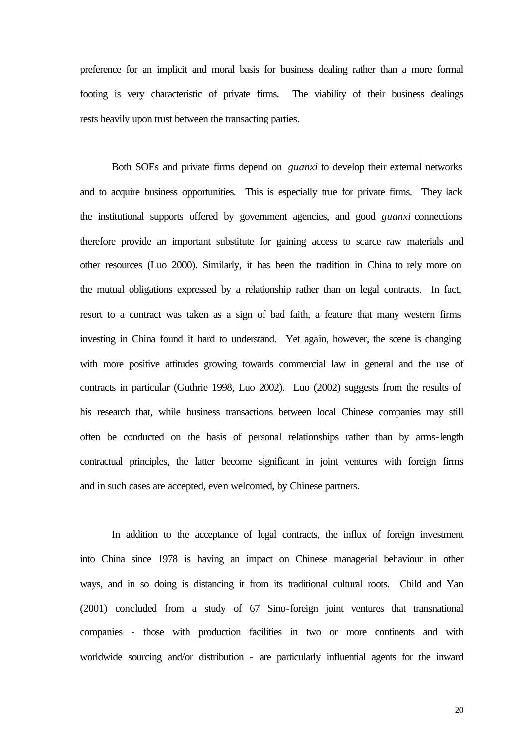preference for an implicit and moral basis for business dealing rather than a more formal footing is very characteristic of private firms. The viability of their business dealings rests heavily upon trust between the transacting parties.

Both SOEs and private firms depend on *guanxi* to develop their external networks and to acquire business opportunities. This is especially true for private firms. They lack the institutional supports offered by government agencies, and good *guanxi* connections therefore provide an important substitute for gaining access to scarce raw materials and other resources (Luo 2000). Similarly, it has been the tradition in China to rely more on the mutual obligations expressed by a relationship rather than on legal contracts. In fact, resort to a contract was taken as a sign of bad faith, a feature that many western firms investing in China found it hard to understand. Yet again, however, the scene is changing with more positive attitudes growing towards commercial law in general and the use of contracts in particular (Guthrie 1998, Luo 2002). Luo (2002) suggests from the results of his research that, while business transactions between local Chinese companies may still often be conducted on the basis of personal relationships rather than by arms-length contractual principles, the latter become significant in joint ventures with foreign firms and in such cases are accepted, even welcomed, by Chinese partners.

In addition to the acceptance of legal contracts, the influx of foreign investment into China since 1978 is having an impact on Chinese managerial behaviour in other ways, and in so doing is distancing it from its traditional cultural roots. Child and Yan (2001) concluded from a study of 67 Sino-foreign joint ventures that transnational companies - those with production facilities in two or more continents and with worldwide sourcing and/or distribution - are particularly influential agents for the inward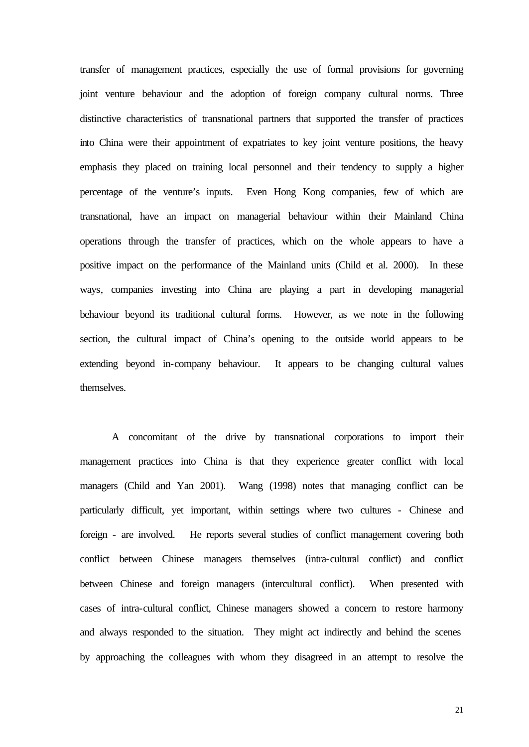transfer of management practices, especially the use of formal provisions for governing joint venture behaviour and the adoption of foreign company cultural norms. Three distinctive characteristics of transnational partners that supported the transfer of practices into China were their appointment of expatriates to key joint venture positions, the heavy emphasis they placed on training local personnel and their tendency to supply a higher percentage of the venture's inputs. Even Hong Kong companies, few of which are transnational, have an impact on managerial behaviour within their Mainland China operations through the transfer of practices, which on the whole appears to have a positive impact on the performance of the Mainland units (Child et al. 2000). In these ways, companies investing into China are playing a part in developing managerial behaviour beyond its traditional cultural forms. However, as we note in the following section, the cultural impact of China's opening to the outside world appears to be extending beyond in-company behaviour. It appears to be changing cultural values themselves.

A concomitant of the drive by transnational corporations to import their management practices into China is that they experience greater conflict with local managers (Child and Yan 2001). Wang (1998) notes that managing conflict can be particularly difficult, yet important, within settings where two cultures - Chinese and foreign - are involved. He reports several studies of conflict management covering both conflict between Chinese managers themselves (intra-cultural conflict) and conflict between Chinese and foreign managers (intercultural conflict). When presented with cases of intra-cultural conflict, Chinese managers showed a concern to restore harmony and always responded to the situation. They might act indirectly and behind the scenes by approaching the colleagues with whom they disagreed in an attempt to resolve the

21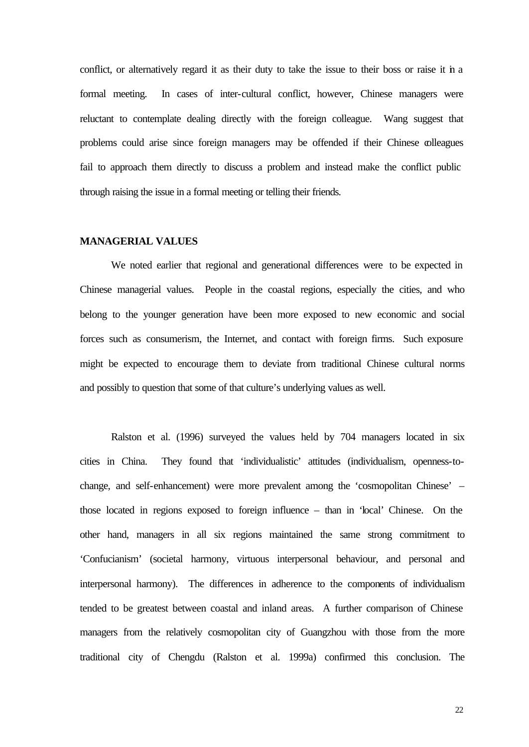conflict, or alternatively regard it as their duty to take the issue to their boss or raise it in a formal meeting. In cases of inter-cultural conflict, however, Chinese managers were reluctant to contemplate dealing directly with the foreign colleague. Wang suggest that problems could arise since foreign managers may be offended if their Chinese colleagues fail to approach them directly to discuss a problem and instead make the conflict public through raising the issue in a formal meeting or telling their friends.

#### **MANAGERIAL VALUES**

We noted earlier that regional and generational differences were to be expected in Chinese managerial values. People in the coastal regions, especially the cities, and who belong to the younger generation have been more exposed to new economic and social forces such as consumerism, the Internet, and contact with foreign firms. Such exposure might be expected to encourage them to deviate from traditional Chinese cultural norms and possibly to question that some of that culture's underlying values as well.

Ralston et al. (1996) surveyed the values held by 704 managers located in six cities in China. They found that 'individualistic' attitudes (individualism, openness-tochange, and self-enhancement) were more prevalent among the 'cosmopolitan Chinese' – those located in regions exposed to foreign influence – than in 'local' Chinese. On the other hand, managers in all six regions maintained the same strong commitment to 'Confucianism' (societal harmony, virtuous interpersonal behaviour, and personal and interpersonal harmony). The differences in adherence to the components of individualism tended to be greatest between coastal and inland areas. A further comparison of Chinese managers from the relatively cosmopolitan city of Guangzhou with those from the more traditional city of Chengdu (Ralston et al. 1999a) confirmed this conclusion. The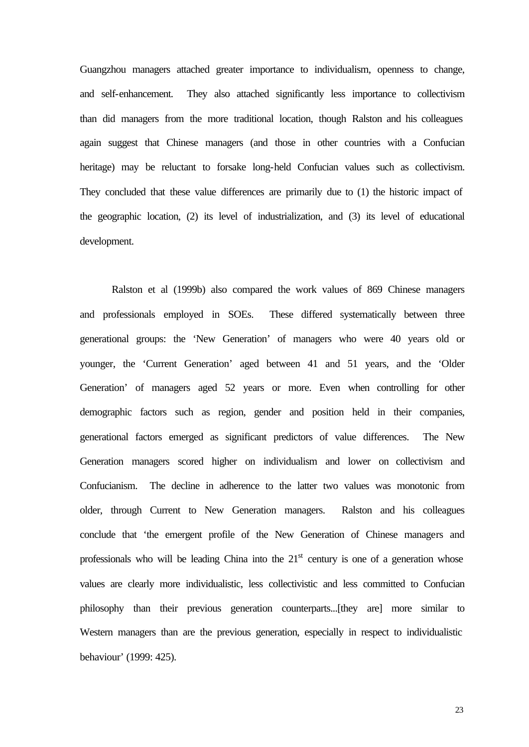Guangzhou managers attached greater importance to individualism, openness to change, and self-enhancement. They also attached significantly less importance to collectivism than did managers from the more traditional location, though Ralston and his colleagues again suggest that Chinese managers (and those in other countries with a Confucian heritage) may be reluctant to forsake long-held Confucian values such as collectivism. They concluded that these value differences are primarily due to (1) the historic impact of the geographic location, (2) its level of industrialization, and (3) its level of educational development.

Ralston et al (1999b) also compared the work values of 869 Chinese managers and professionals employed in SOEs. These differed systematically between three generational groups: the 'New Generation' of managers who were 40 years old or younger, the 'Current Generation' aged between 41 and 51 years, and the 'Older Generation' of managers aged 52 years or more. Even when controlling for other demographic factors such as region, gender and position held in their companies, generational factors emerged as significant predictors of value differences. The New Generation managers scored higher on individualism and lower on collectivism and Confucianism. The decline in adherence to the latter two values was monotonic from older, through Current to New Generation managers. Ralston and his colleagues conclude that 'the emergent profile of the New Generation of Chinese managers and professionals who will be leading China into the  $21<sup>st</sup>$  century is one of a generation whose values are clearly more individualistic, less collectivistic and less committed to Confucian philosophy than their previous generation counterparts...[they are] more similar to Western managers than are the previous generation, especially in respect to individualistic behaviour' (1999: 425).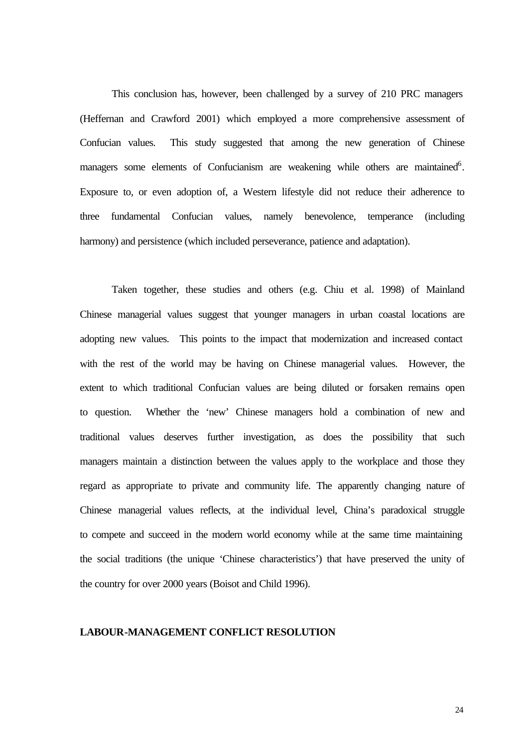This conclusion has, however, been challenged by a survey of 210 PRC managers (Heffernan and Crawford 2001) which employed a more comprehensive assessment of Confucian values. This study suggested that among the new generation of Chinese managers some elements of Confucianism are weakening while others are maintained<sup>6</sup>. Exposure to, or even adoption of, a Western lifestyle did not reduce their adherence to three fundamental Confucian values, namely benevolence, temperance (including harmony) and persistence (which included perseverance, patience and adaptation).

Taken together, these studies and others (e.g. Chiu et al. 1998) of Mainland Chinese managerial values suggest that younger managers in urban coastal locations are adopting new values. This points to the impact that modernization and increased contact with the rest of the world may be having on Chinese managerial values. However, the extent to which traditional Confucian values are being diluted or forsaken remains open to question. Whether the 'new' Chinese managers hold a combination of new and traditional values deserves further investigation, as does the possibility that such managers maintain a distinction between the values apply to the workplace and those they regard as appropriate to private and community life. The apparently changing nature of Chinese managerial values reflects, at the individual level, China's paradoxical struggle to compete and succeed in the modern world economy while at the same time maintaining the social traditions (the unique 'Chinese characteristics') that have preserved the unity of the country for over 2000 years (Boisot and Child 1996).

#### **LABOUR-MANAGEMENT CONFLICT RESOLUTION**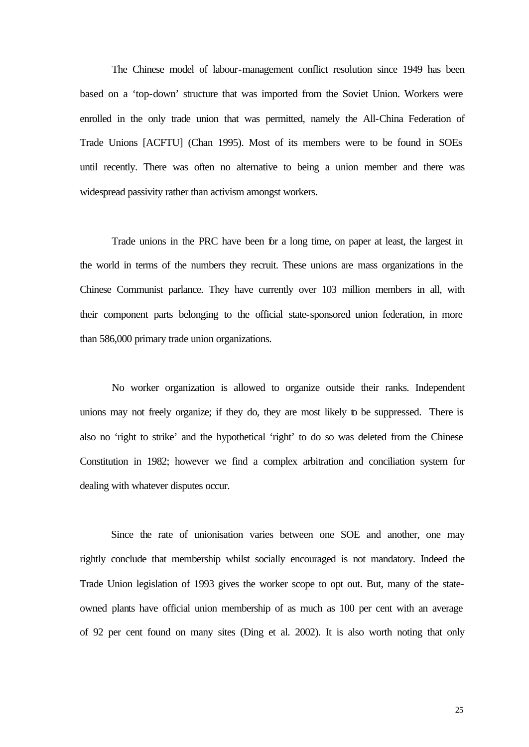The Chinese model of labour-management conflict resolution since 1949 has been based on a 'top-down' structure that was imported from the Soviet Union. Workers were enrolled in the only trade union that was permitted, namely the All-China Federation of Trade Unions [ACFTU] (Chan 1995). Most of its members were to be found in SOEs until recently. There was often no alternative to being a union member and there was widespread passivity rather than activism amongst workers.

Trade unions in the PRC have been for a long time, on paper at least, the largest in the world in terms of the numbers they recruit. These unions are mass organizations in the Chinese Communist parlance. They have currently over 103 million members in all, with their component parts belonging to the official state-sponsored union federation, in more than 586,000 primary trade union organizations.

No worker organization is allowed to organize outside their ranks. Independent unions may not freely organize; if they do, they are most likely to be suppressed. There is also no 'right to strike' and the hypothetical 'right' to do so was deleted from the Chinese Constitution in 1982; however we find a complex arbitration and conciliation system for dealing with whatever disputes occur.

Since the rate of unionisation varies between one SOE and another, one may rightly conclude that membership whilst socially encouraged is not mandatory. Indeed the Trade Union legislation of 1993 gives the worker scope to opt out. But, many of the stateowned plants have official union membership of as much as 100 per cent with an average of 92 per cent found on many sites (Ding et al. 2002). It is also worth noting that only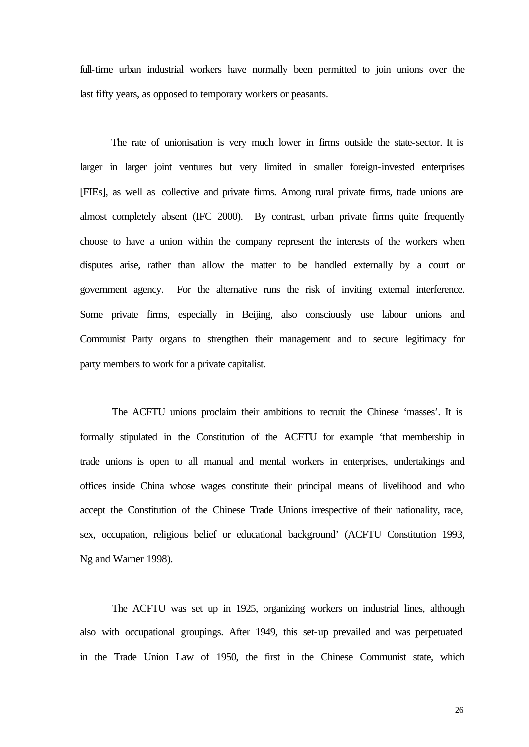full-time urban industrial workers have normally been permitted to join unions over the last fifty years, as opposed to temporary workers or peasants.

The rate of unionisation is very much lower in firms outside the state-sector. It is larger in larger joint ventures but very limited in smaller foreign-invested enterprises [FIEs], as well as collective and private firms. Among rural private firms, trade unions are almost completely absent (IFC 2000). By contrast, urban private firms quite frequently choose to have a union within the company represent the interests of the workers when disputes arise, rather than allow the matter to be handled externally by a court or government agency. For the alternative runs the risk of inviting external interference. Some private firms, especially in Beijing, also consciously use labour unions and Communist Party organs to strengthen their management and to secure legitimacy for party members to work for a private capitalist.

The ACFTU unions proclaim their ambitions to recruit the Chinese 'masses'. It is formally stipulated in the Constitution of the ACFTU for example 'that membership in trade unions is open to all manual and mental workers in enterprises, undertakings and offices inside China whose wages constitute their principal means of livelihood and who accept the Constitution of the Chinese Trade Unions irrespective of their nationality, race, sex, occupation, religious belief or educational background' (ACFTU Constitution 1993, Ng and Warner 1998).

The ACFTU was set up in 1925, organizing workers on industrial lines, although also with occupational groupings. After 1949, this set-up prevailed and was perpetuated in the Trade Union Law of 1950, the first in the Chinese Communist state, which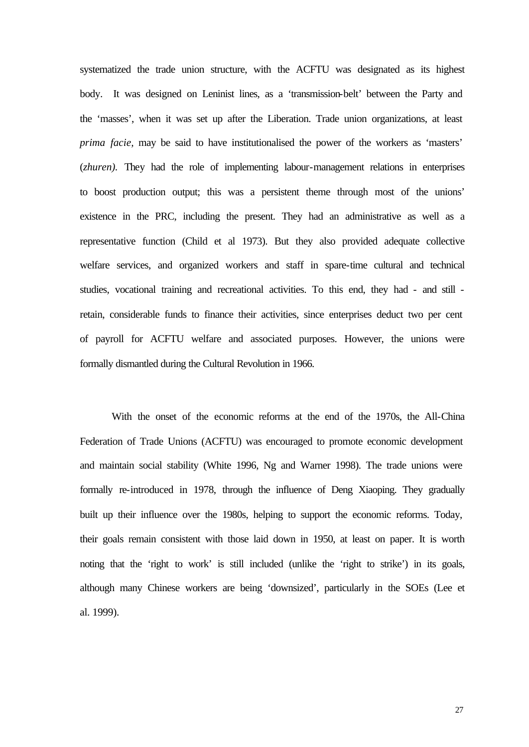systematized the trade union structure, with the ACFTU was designated as its highest body. It was designed on Leninist lines, as a 'transmission-belt' between the Party and the 'masses', when it was set up after the Liberation. Trade union organizations, at least *prima facie,* may be said to have institutionalised the power of the workers as 'masters' (*zhuren).* They had the role of implementing labour-management relations in enterprises to boost production output; this was a persistent theme through most of the unions' existence in the PRC, including the present. They had an administrative as well as a representative function (Child et al 1973). But they also provided adequate collective welfare services, and organized workers and staff in spare-time cultural and technical studies, vocational training and recreational activities. To this end, they had - and still retain, considerable funds to finance their activities, since enterprises deduct two per cent of payroll for ACFTU welfare and associated purposes. However, the unions were formally dismantled during the Cultural Revolution in 1966.

With the onset of the economic reforms at the end of the 1970s, the All-China Federation of Trade Unions (ACFTU) was encouraged to promote economic development and maintain social stability (White 1996, Ng and Warner 1998). The trade unions were formally re-introduced in 1978, through the influence of Deng Xiaoping. They gradually built up their influence over the 1980s, helping to support the economic reforms. Today, their goals remain consistent with those laid down in 1950, at least on paper. It is worth noting that the 'right to work' is still included (unlike the 'right to strike') in its goals, although many Chinese workers are being 'downsized', particularly in the SOEs (Lee et al. 1999).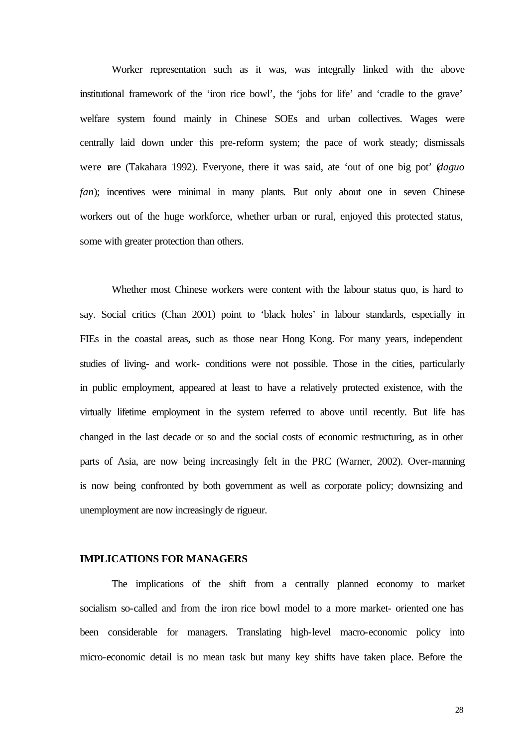Worker representation such as it was, was integrally linked with the above institutional framework of the 'iron rice bowl', the 'jobs for life' and 'cradle to the grave' welfare system found mainly in Chinese SOEs and urban collectives. Wages were centrally laid down under this pre-reform system; the pace of work steady; dismissals were rare (Takahara 1992). Everyone, there it was said, ate 'out of one big pot' (*daguo fan*); incentives were minimal in many plants. But only about one in seven Chinese workers out of the huge workforce, whether urban or rural, enjoyed this protected status, some with greater protection than others.

Whether most Chinese workers were content with the labour status quo, is hard to say. Social critics (Chan 2001) point to 'black holes' in labour standards, especially in FIEs in the coastal areas, such as those near Hong Kong. For many years, independent studies of living- and work- conditions were not possible. Those in the cities, particularly in public employment, appeared at least to have a relatively protected existence, with the virtually lifetime employment in the system referred to above until recently. But life has changed in the last decade or so and the social costs of economic restructuring, as in other parts of Asia, are now being increasingly felt in the PRC (Warner, 2002). Over-manning is now being confronted by both government as well as corporate policy; downsizing and unemployment are now increasingly de rigueur.

#### **IMPLICATIONS FOR MANAGERS**

The implications of the shift from a centrally planned economy to market socialism so-called and from the iron rice bowl model to a more market- oriented one has been considerable for managers. Translating high-level macro-economic policy into micro-economic detail is no mean task but many key shifts have taken place. Before the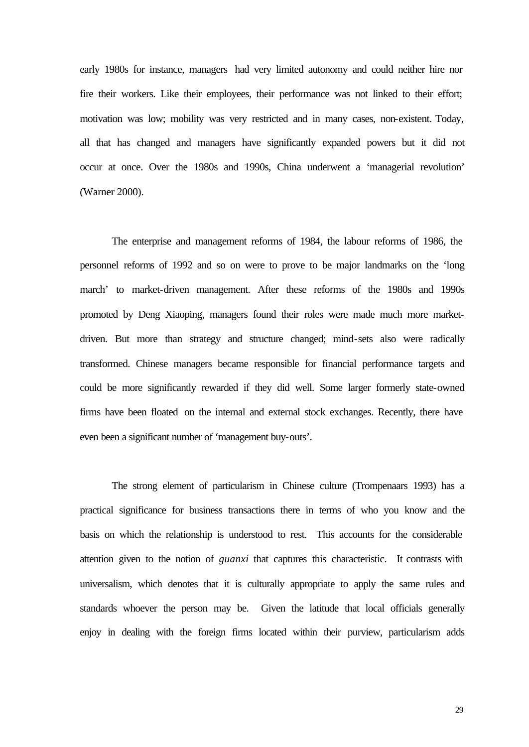early 1980s for instance, managers had very limited autonomy and could neither hire nor fire their workers. Like their employees, their performance was not linked to their effort; motivation was low; mobility was very restricted and in many cases, non-existent. Today, all that has changed and managers have significantly expanded powers but it did not occur at once. Over the 1980s and 1990s, China underwent a 'managerial revolution' (Warner 2000).

The enterprise and management reforms of 1984, the labour reforms of 1986, the personnel reforms of 1992 and so on were to prove to be major landmarks on the 'long march' to market-driven management. After these reforms of the 1980s and 1990s promoted by Deng Xiaoping, managers found their roles were made much more marketdriven. But more than strategy and structure changed; mind-sets also were radically transformed. Chinese managers became responsible for financial performance targets and could be more significantly rewarded if they did well. Some larger formerly state-owned firms have been floated on the internal and external stock exchanges. Recently, there have even been a significant number of 'management buy-outs'.

The strong element of particularism in Chinese culture (Trompenaars 1993) has a practical significance for business transactions there in terms of who you know and the basis on which the relationship is understood to rest. This accounts for the considerable attention given to the notion of *guanxi* that captures this characteristic. It contrasts with universalism, which denotes that it is culturally appropriate to apply the same rules and standards whoever the person may be. Given the latitude that local officials generally enjoy in dealing with the foreign firms located within their purview, particularism adds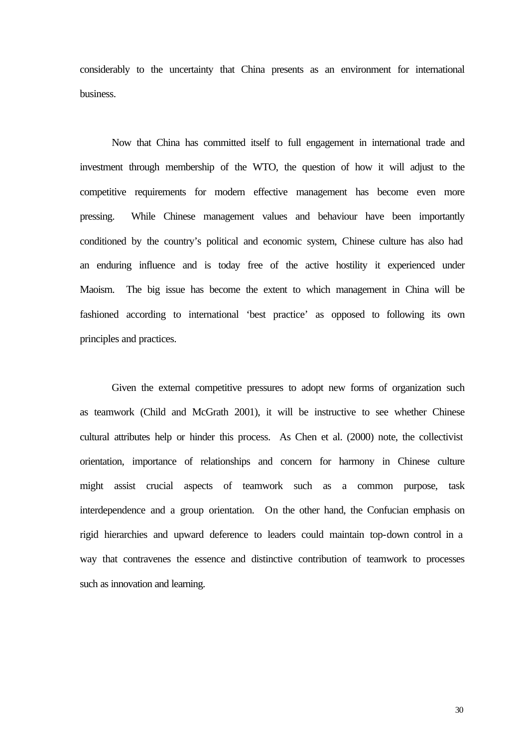considerably to the uncertainty that China presents as an environment for international business.

Now that China has committed itself to full engagement in international trade and investment through membership of the WTO, the question of how it will adjust to the competitive requirements for modern effective management has become even more pressing. While Chinese management values and behaviour have been importantly conditioned by the country's political and economic system, Chinese culture has also had an enduring influence and is today free of the active hostility it experienced under Maoism. The big issue has become the extent to which management in China will be fashioned according to international 'best practice' as opposed to following its own principles and practices.

Given the external competitive pressures to adopt new forms of organization such as teamwork (Child and McGrath 2001), it will be instructive to see whether Chinese cultural attributes help or hinder this process. As Chen et al. (2000) note, the collectivist orientation, importance of relationships and concern for harmony in Chinese culture might assist crucial aspects of teamwork such as a common purpose, task interdependence and a group orientation. On the other hand, the Confucian emphasis on rigid hierarchies and upward deference to leaders could maintain top-down control in a way that contravenes the essence and distinctive contribution of teamwork to processes such as innovation and learning.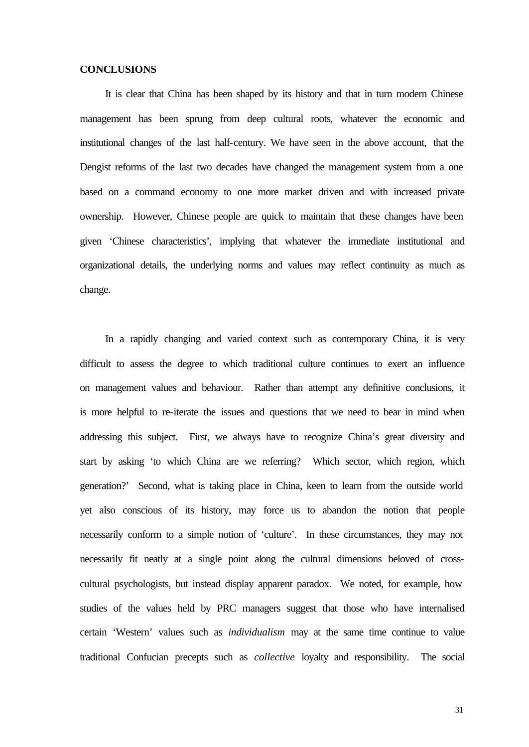#### **CONCLUSIONS**

It is clear that China has been shaped by its history and that in turn modern Chinese management has been sprung from deep cultural roots, whatever the economic and institutional changes of the last half-century. We have seen in the above account, that the Dengist reforms of the last two decades have changed the management system from a one based on a command economy to one more market driven and with increased private ownership. However, Chinese people are quick to maintain that these changes have been given 'Chinese characteristics', implying that whatever the immediate institutional and organizational details, the underlying norms and values may reflect continuity as much as change.

In a rapidly changing and varied context such as contemporary China, it is very difficult to assess the degree to which traditional culture continues to exert an influence on management values and behaviour. Rather than attempt any definitive conclusions, it is more helpful to re-iterate the issues and questions that we need to bear in mind when addressing this subject. First, we always have to recognize China's great diversity and start by asking 'to which China are we referring? Which sector, which region, which generation?' Second, what is taking place in China, keen to learn from the outside world yet also conscious of its history, may force us to abandon the notion that people necessarily conform to a simple notion of 'culture'. In these circumstances, they may not necessarily fit neatly at a single point along the cultural dimensions beloved of crosscultural psychologists, but instead display apparent paradox. We noted, for example, how studies of the values held by PRC managers suggest that those who have internalised certain 'Western' values such as *individualism* may at the same time continue to value traditional Confucian precepts such as *collective* loyalty and responsibility. The social

31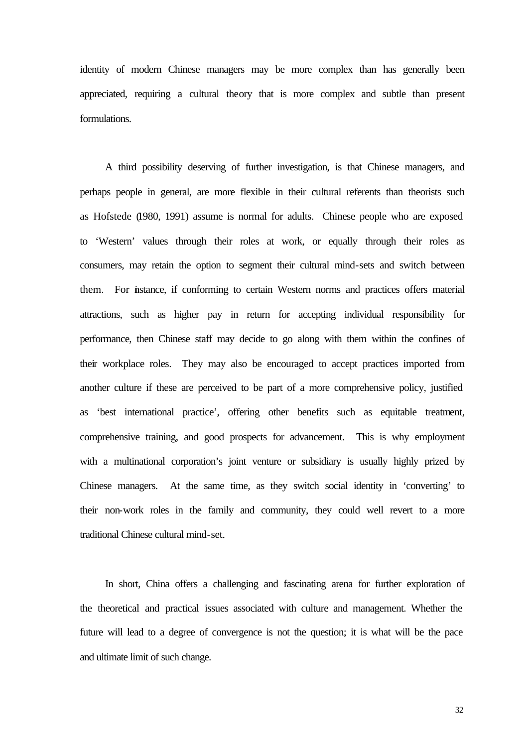identity of modern Chinese managers may be more complex than has generally been appreciated, requiring a cultural theory that is more complex and subtle than present formulations.

A third possibility deserving of further investigation, is that Chinese managers, and perhaps people in general, are more flexible in their cultural referents than theorists such as Hofstede (1980, 1991) assume is normal for adults. Chinese people who are exposed to 'Western' values through their roles at work, or equally through their roles as consumers, may retain the option to segment their cultural mind-sets and switch between them. For instance, if conforming to certain Western norms and practices offers material attractions, such as higher pay in return for accepting individual responsibility for performance, then Chinese staff may decide to go along with them within the confines of their workplace roles. They may also be encouraged to accept practices imported from another culture if these are perceived to be part of a more comprehensive policy, justified as 'best international practice', offering other benefits such as equitable treatment, comprehensive training, and good prospects for advancement. This is why employment with a multinational corporation's joint venture or subsidiary is usually highly prized by Chinese managers. At the same time, as they switch social identity in 'converting' to their non-work roles in the family and community, they could well revert to a more traditional Chinese cultural mind-set.

In short, China offers a challenging and fascinating arena for further exploration of the theoretical and practical issues associated with culture and management. Whether the future will lead to a degree of convergence is not the question; it is what will be the pace and ultimate limit of such change.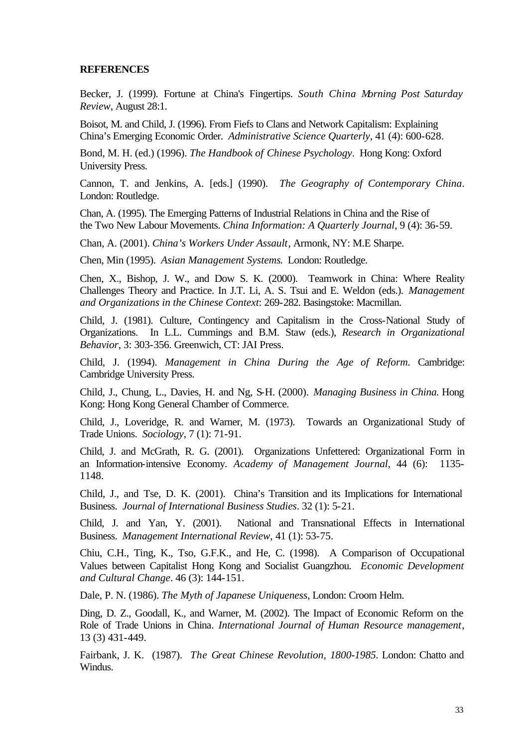#### **REFERENCES**

Becker, J. (1999). Fortune at China's Fingertips. *South China Morning Post Saturday Review*, August 28:1.

Boisot, M. and Child, J. (1996). From Fiefs to Clans and Network Capitalism: Explaining China's Emerging Economic Order. *Administrative Science Quarterly*, 41 (4): 600-628.

Bond, M. H. (ed.) (1996). *The Handbook of Chinese Psychology*. Hong Kong: Oxford University Press.

Cannon, T. and Jenkins, A. [eds.] (1990). *The Geography of Contemporary China*. London: Routledge.

Chan, A. (1995). The Emerging Patterns of Industrial Relations in China and the Rise of the Two New Labour Movements. *China Information: A Quarterly Journal*, 9 (4): 36-59.

Chan, A. (2001). *China's Workers Under Assault*, Armonk, NY: M.E Sharpe.

Chen, Min (1995). *Asian Management Systems*. London: Routledge.

Chen, X., Bishop, J. W., and Dow S. K. (2000). Teamwork in China: Where Reality Challenges Theory and Practice. In J.T. Li, A. S. Tsui and E. Weldon (eds.). *Management and Organizations in the Chinese Context*: 269-282. Basingstoke: Macmillan.

Child, J. (1981). Culture, Contingency and Capitalism in the Cross-National Study of Organizations. In L.L. Cummings and B.M. Staw (eds.), *Research in Organizational Behavior*, 3: 303-356. Greenwich, CT: JAI Press.

Child, J. (1994). *Management in China During the Age of Reform.* Cambridge: Cambridge University Press.

Child, J., Chung, L., Davies, H. and Ng, S-H. (2000). *Managing Business in China.* Hong Kong: Hong Kong General Chamber of Commerce.

Child, J., Loveridge, R. and Warner, M. (1973). Towards an Organizational Study of Trade Unions. *Sociology*, 7 (1): 71-91.

Child, J. and McGrath, R. G. (2001). Organizations Unfettered: Organizational Form in an Information-intensive Economy. *Academy of Management Journal*, 44 (6): 1135- 1148.

Child, J., and Tse, D. K. (2001). China's Transition and its Implications for International Business. *Journal of International Business Studies*. 32 (1): 5-21.

Child, J. and Yan, Y. (2001). National and Transnational Effects in International Business. *Management International Review*, 41 (1): 53-75.

Chiu, C.H., Ting, K., Tso, G.F.K., and He, C. (1998). A Comparison of Occupational Values between Capitalist Hong Kong and Socialist Guangzhou. *Economic Development and Cultural Change*. 46 (3): 144-151.

Dale, P. N. (1986). *The Myth of Japanese Uniqueness*, London: Croom Helm.

Ding, D. Z., Goodall, K., and Warner, M. (2002). The Impact of Economic Reform on the Role of Trade Unions in China*. International Journal of Human Resource management*, 13 (3) 431-449.

Fairbank, J. K. (1987). *The Great Chinese Revolution, 1800-1985.* London: Chatto and Windus.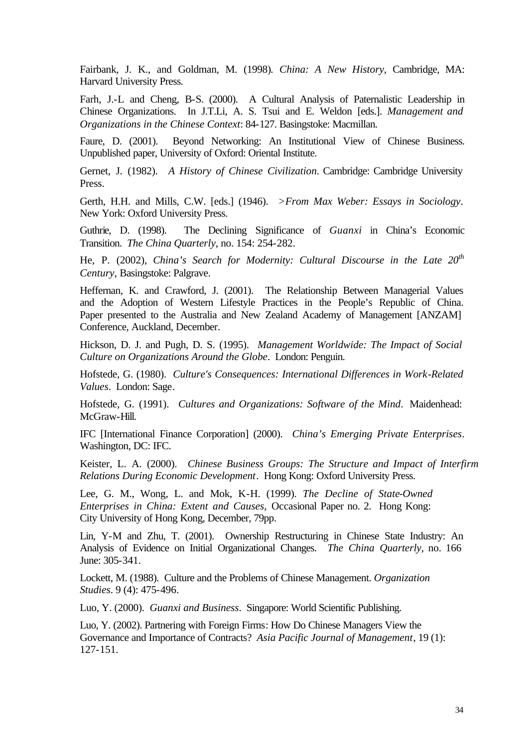Fairbank, J. K., and Goldman, M. (1998)*. China: A New History,* Cambridge, MA: Harvard University Press.

Farh, J.-L and Cheng, B-S. (2000). A Cultural Analysis of Paternalistic Leadership in Chinese Organizations. In J.T.Li, A. S. Tsui and E. Weldon [eds.]. *Management and Organizations in the Chinese Context*: 84-127. Basingstoke: Macmillan.

Faure, D. (2001). Beyond Networking: An Institutional View of Chinese Business. Unpublished paper, University of Oxford: Oriental Institute.

Gernet, J. (1982). *A History of Chinese Civilization*. Cambridge: Cambridge University Press.

Gerth, H.H. and Mills, C.W. [eds.] (1946). *>From Max Weber: Essays in Sociology*. New York: Oxford University Press.

Guthrie, D. (1998). The Declining Significance of *Guanxi* in China's Economic Transition. *The China Quarterly*, no. 154: 254-282.

He, P. (2002), *China's Search for Modernity: Cultural Discourse in the Late 20th Century,* Basingstoke: Palgrave.

Heffernan, K. and Crawford, J. (2001). The Relationship Between Managerial Values and the Adoption of Western Lifestyle Practices in the People's Republic of China. Paper presented to the Australia and New Zealand Academy of Management [ANZAM] Conference, Auckland, December.

Hickson, D. J. and Pugh, D. S. (1995). *Management Worldwide: The Impact of Social Culture on Organizations Around the Globe*. London: Penguin.

Hofstede, G. (1980). *Culture's Consequences: International Differences in Work-Related Values*. London: Sage.

Hofstede, G. (1991). *Cultures and Organizations: Software of the Mind*. Maidenhead: McGraw-Hill.

IFC [International Finance Corporation] (2000). *China's Emerging Private Enterprises*. Washington, DC: IFC.

Keister, L. A. (2000). *Chinese Business Groups: The Structure and Impact of Interfirm Relations During Economic Development*. Hong Kong: Oxford University Press.

Lee, G. M., Wong, L. and Mok, K-H. (1999). *The Decline of State-Owned Enterprises in China: Extent and Causes*, Occasional Paper no. 2. Hong Kong: City University of Hong Kong, December, 79pp.

Lin, Y-M and Zhu, T. (2001). Ownership Restructuring in Chinese State Industry: An Analysis of Evidence on Initial Organizational Changes. *The China Quarterly*, no. 166 June: 305-341.

Lockett, M. (1988). Culture and the Problems of Chinese Management. *Organization Studies*. 9 (4): 475-496.

Luo, Y. (2000). *Guanxi and Business*. Singapore: World Scientific Publishing.

Luo, Y. (2002). Partnering with Foreign Firms: How Do Chinese Managers View the Governance and Importance of Contracts? *Asia Pacific Journal of Management*, 19 (1): 127-151.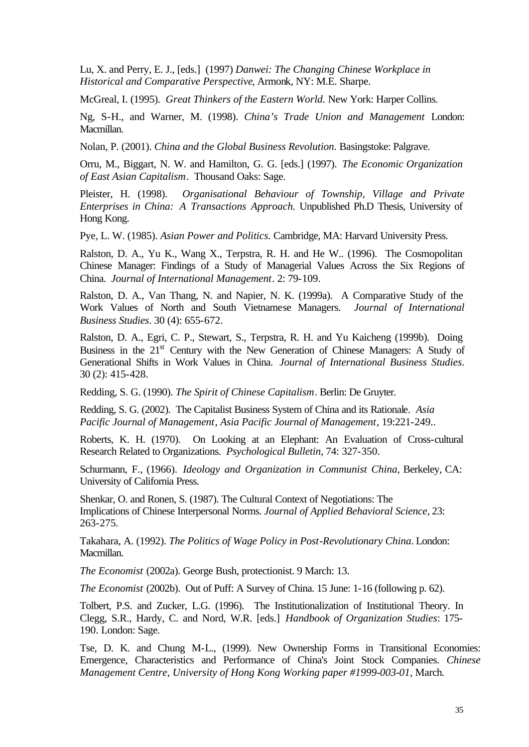Lu, X. and Perry, E. J., [eds.] (1997) *Danwei: The Changing Chinese Workplace in Historical and Comparative Perspective*, Armonk, NY: M.E. Sharpe.

McGreal, I. (1995). *Great Thinkers of the Eastern World.* New York: Harper Collins.

Ng, S-H., and Warner, M. (1998). *China's Trade Union and Management* London: Macmillan.

Nolan, P. (2001). *China and the Global Business Revolution.* Basingstoke: Palgrave.

Orru, M., Biggart, N. W. and Hamilton, G. G. [eds.] (1997). *The Economic Organization of East Asian Capitalism*. Thousand Oaks: Sage.

Pleister, H. (1998). *Organisational Behaviour of Township, Village and Private Enterprises in China: A Transactions Approach.* Unpublished Ph.D Thesis, University of Hong Kong.

Pye, L. W. (1985). *Asian Power and Politics.* Cambridge, MA: Harvard University Press.

Ralston, D. A., Yu K., Wang X., Terpstra, R. H. and He W.. (1996). The Cosmopolitan Chinese Manager: Findings of a Study of Managerial Values Across the Six Regions of China. *Journal of International Management*. 2: 79-109.

Ralston, D. A., Van Thang, N. and Napier, N. K. (1999a). A Comparative Study of the Work Values of North and South Vietnamese Managers. *Journal of International Business Studies*. 30 (4): 655-672.

Ralston, D. A., Egri, C. P., Stewart, S., Terpstra, R. H. and Yu Kaicheng (1999b). Doing Business in the 21<sup>st</sup> Century with the New Generation of Chinese Managers: A Study of Generational Shifts in Work Values in China. *Journal of International Business Studies*. 30 (2): 415-428.

Redding, S. G. (1990). *The Spirit of Chinese Capitalism*. Berlin: De Gruyter.

Redding, S. G. (2002). The Capitalist Business System of China and its Rationale. *Asia Pacific Journal of Management*, *Asia Pacific Journal of Management*, 19:221-249..

Roberts, K. H. (1970). On Looking at an Elephant: An Evaluation of Cross-cultural Research Related to Organizations. *Psychological Bulletin*, 74: 327-350.

Schurmann, F., (1966). *Ideology and Organization in Communist China,* Berkeley, CA: University of California Press.

Shenkar, O. and Ronen, S. (1987). The Cultural Context of Negotiations: The Implications of Chinese Interpersonal Norms. *Journal of Applied Behavioral Science*, 23: 263-275.

Takahara, A. (1992). *The Politics of Wage Policy in Post-Revolutionary China*. London: Macmillan.

*The Economist* (2002a). George Bush, protectionist. 9 March: 13.

*The Economist* (2002b). Out of Puff: A Survey of China. 15 June: 1-16 (following p. 62).

Tolbert, P.S. and Zucker, L.G. (1996). The Institutionalization of Institutional Theory. In Clegg, S.R., Hardy, C. and Nord, W.R. [eds.] *Handbook of Organization Studies*: 175- 190. London: Sage.

Tse, D. K. and Chung M-L., (1999). New Ownership Forms in Transitional Economies: Emergence, Characteristics and Performance of China's Joint Stock Companies. *Chinese Management Centre, University of Hong Kong Working paper #1999-003-01*, March.